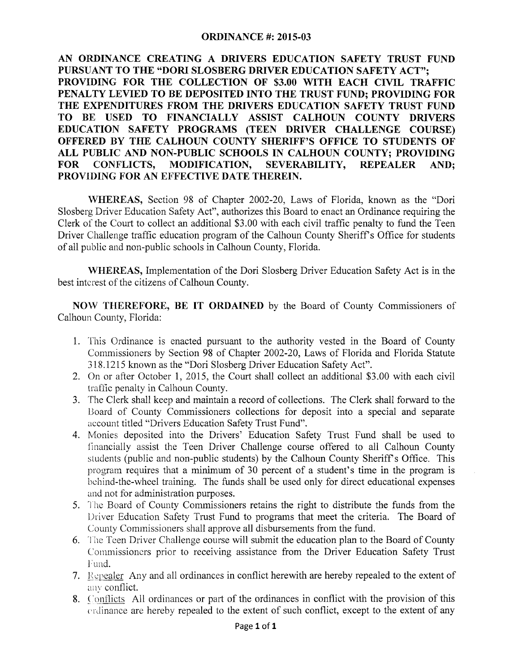## **ORDINANCE #: 2015-03**

**AN ORDINANCE CREATING A DRIVERS EDUCATION SAFETY TRUST FUND PURSUANT TO THE "DORI SLOSBERG DRIVER EDUCATION SAFETY ACT"; PROVIDING FOR THE COLLECTION OF \$3.00 WITH EACH CIVIL TRAFFIC PENALTY LEVIED TO BE DEPOSITED INTO THE TRUST FUND; PROVIDING FOR THE EXPENDITURES FROM THE DRIVERS EDUCATION SAFETY TRUST FUND TO BE USED TO FINANCIALLY ASSIST CALHOUN COUNTY DRIVERS EDUCATION SAFETY PROGRAMS (TEEN DRIVER CHALLENGE COURSE) OFFERED BY THE CALHOUN COUNTY SHERIFF'S OFFICE TO STUDENTS OF ALL PUBLIC AND NON-PUBLIC SCHOOLS IN CALHOUN COUNTY; PROVIDING FOR CONFLICTS, MODIFICATION, SEVERABILITY, REPEALER AND; PROVIDING FOR AN EFFECTIVE DATE THEREIN.** 

**\VHEREAS,** Section 98 of Chapter 2002-20, Laws of Florida, known as the "Dori Slosberg Driver Education Safety Act", authorizes this Board to enact an Ordinance requiring the Clerk of the Court to collect an additional \$3.00 with each civil traffic penalty to fund the Teen Driver Challenge traffic education program of the Calhoun County Sheriff's Office for students of all public and non-public schools in Calhoun County, Florida.

**WHEREAS,** Implementation of the Dori Slosberg Driver Education Safety Act is in the best interest of the citizens of Calhoun County.

**NOW THEREFORE, BE IT ORDAINED** by the Board of County Commissioners of Calhoun County, Florida:

- 1. This Ordinance is enacted pursuant to the authority vested in the Board of County Commissioners by Section 98 of Chapter 2002-20, Laws of Florida and Florida Statute 318.1215 known as the "Dori Slosberg Driver Education Safety Act".
- 2. On or after October 1, 2015, the Court shall collect an additional \$3.00 with each civil trafiic penalty in Calhoun County.
- 3. The Clerk shall keep and maintain a record of collections. The Clerk shall forward to the Board of County Commissioners collections for deposit into a special and separate account titled "Drivers Education Safety Trust Fund".
- 4. Monies deposited into the Drivers' Education Safety Trust Fund shall be used to financially assist the Teen Driver Challenge course offered to all Calhoun County students (public and non-public students) by the Calhoun County Sheriff's Office. This program requires that a minimum of 30 percent of a student's time in the program is behind-the-wheel training. The funds shall be used only for direct educational expenses and not for administration purposes.
- 5. The Board of County Commissioners retains the right to distribute the funds from the Driver Education Safety Trust Fund to programs that meet the criteria. The Board of County Commissioners shall approve all disbursements from the fund.
- 6. The Teen Driver Challenge course will submit the education plan to the Board of County Commissioners prior to receiving assistance from the Driver Education Safety Trust Fund.
- 7. Repealer Any and all ordinances in conflict herewith are hereby repealed to the extent of any conflict.
- 8. Conflicts All ordinances or part of the ordinances in conflict with the provision of this erdinance are hereby repealed to the extent of such conflict, except to the extent of any